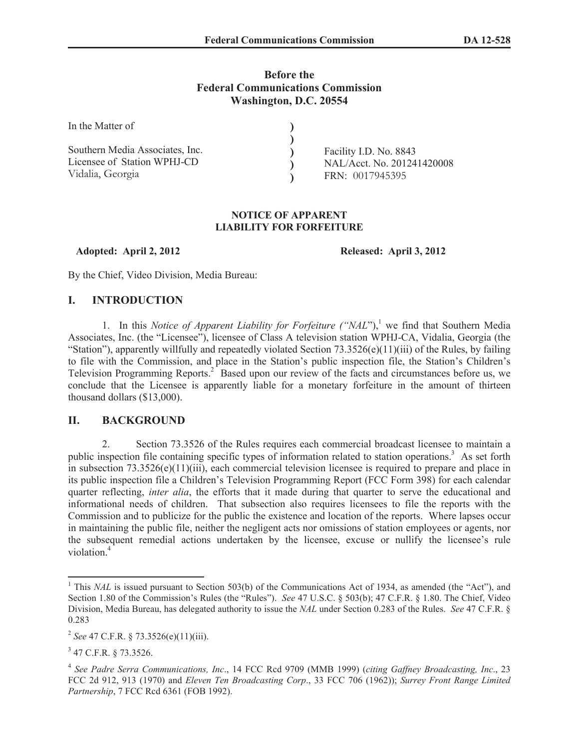# **Before the Federal Communications Commission Washington, D.C. 20554**

| In the Matter of                |                            |  |
|---------------------------------|----------------------------|--|
|                                 |                            |  |
| Southern Media Associates, Inc. | Facility I.D. No. 8843     |  |
| Licensee of Station WPHJ-CD     | NAL/Acct. No. 201241420008 |  |
| Vidalia, Georgia                | FRN: 0017945395            |  |

#### **NOTICE OF APPARENT LIABILITY FOR FORFEITURE**

**Adopted: April 2, 2012 Released: April 3, 2012**

By the Chief, Video Division, Media Bureau:

# **I. INTRODUCTION**

1. In this *Notice of Apparent Liability for Forfeiture ("NAL"*),<sup>1</sup> we find that Southern Media Associates, Inc. (the "Licensee"), licensee of Class A television station WPHJ-CA, Vidalia, Georgia (the "Station"), apparently willfully and repeatedly violated Section  $73.3526(e)(11)(iii)$  of the Rules, by failing to file with the Commission, and place in the Station's public inspection file, the Station's Children's Television Programming Reports.<sup>2</sup> Based upon our review of the facts and circumstances before us, we conclude that the Licensee is apparently liable for a monetary forfeiture in the amount of thirteen thousand dollars (\$13,000).

# **II. BACKGROUND**

2. Section 73.3526 of the Rules requires each commercial broadcast licensee to maintain a public inspection file containing specific types of information related to station operations.<sup>3</sup> As set forth in subsection 73.3526(e)(11)(iii), each commercial television licensee is required to prepare and place in its public inspection file a Children's Television Programming Report (FCC Form 398) for each calendar quarter reflecting, *inter alia*, the efforts that it made during that quarter to serve the educational and informational needs of children. That subsection also requires licensees to file the reports with the Commission and to publicize for the public the existence and location of the reports. Where lapses occur in maintaining the public file, neither the negligent acts nor omissions of station employees or agents, nor the subsequent remedial actions undertaken by the licensee, excuse or nullify the licensee's rule violation. 4

<sup>&</sup>lt;sup>1</sup> This *NAL* is issued pursuant to Section 503(b) of the Communications Act of 1934, as amended (the "Act"), and Section 1.80 of the Commission's Rules (the "Rules"). *See* 47 U.S.C. § 503(b); 47 C.F.R. § 1.80. The Chief, Video Division, Media Bureau, has delegated authority to issue the *NAL* under Section 0.283 of the Rules. *See* 47 C.F.R. § 0.283

<sup>2</sup> *See* 47 C.F.R. § 73.3526(e)(11)(iii).

<sup>&</sup>lt;sup>3</sup> 47 C.F.R. § 73.3526.

<sup>4</sup> *See Padre Serra Communications, Inc*., 14 FCC Rcd 9709 (MMB 1999) (*citing Gaffney Broadcasting, Inc*., 23 FCC 2d 912, 913 (1970) and *Eleven Ten Broadcasting Corp*., 33 FCC 706 (1962)); *Surrey Front Range Limited Partnership*, 7 FCC Rcd 6361 (FOB 1992).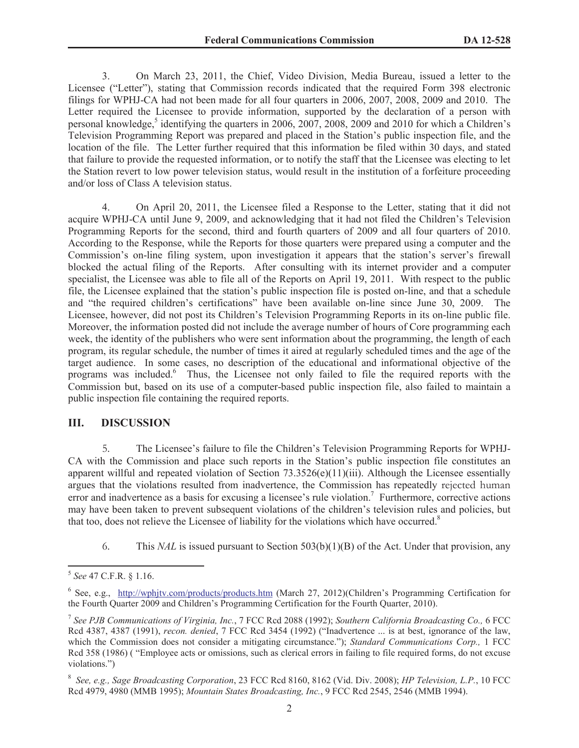3. On March 23, 2011, the Chief, Video Division, Media Bureau, issued a letter to the Licensee ("Letter"), stating that Commission records indicated that the required Form 398 electronic filings for WPHJ-CA had not been made for all four quarters in 2006, 2007, 2008, 2009 and 2010. The Letter required the Licensee to provide information, supported by the declaration of a person with personal knowledge,<sup>5</sup> identifying the quarters in 2006, 2007, 2008, 2009 and 2010 for which a Children's Television Programming Report was prepared and placed in the Station's public inspection file, and the location of the file. The Letter further required that this information be filed within 30 days, and stated that failure to provide the requested information, or to notify the staff that the Licensee was electing to let the Station revert to low power television status, would result in the institution of a forfeiture proceeding and/or loss of Class A television status.

4. On April 20, 2011, the Licensee filed a Response to the Letter, stating that it did not acquire WPHJ-CA until June 9, 2009, and acknowledging that it had not filed the Children's Television Programming Reports for the second, third and fourth quarters of 2009 and all four quarters of 2010. According to the Response, while the Reports for those quarters were prepared using a computer and the Commission's on-line filing system, upon investigation it appears that the station's server's firewall blocked the actual filing of the Reports. After consulting with its internet provider and a computer specialist, the Licensee was able to file all of the Reports on April 19, 2011. With respect to the public file, the Licensee explained that the station's public inspection file is posted on-line, and that a schedule and "the required children's certifications" have been available on-line since June 30, 2009. The Licensee, however, did not post its Children's Television Programming Reports in its on-line public file. Moreover, the information posted did not include the average number of hours of Core programming each week, the identity of the publishers who were sent information about the programming, the length of each program, its regular schedule, the number of times it aired at regularly scheduled times and the age of the target audience. In some cases, no description of the educational and informational objective of the programs was included.<sup>6</sup> Thus, the Licensee not only failed to file the required reports with the Commission but, based on its use of a computer-based public inspection file, also failed to maintain a public inspection file containing the required reports.

### **III. DISCUSSION**

5. The Licensee's failure to file the Children's Television Programming Reports for WPHJ-CA with the Commission and place such reports in the Station's public inspection file constitutes an apparent willful and repeated violation of Section 73.3526(e)(11)(iii). Although the Licensee essentially argues that the violations resulted from inadvertence, the Commission has repeatedly rejected human error and inadvertence as a basis for excusing a licensee's rule violation.<sup>7</sup> Furthermore, corrective actions may have been taken to prevent subsequent violations of the children's television rules and policies, but that too, does not relieve the Licensee of liability for the violations which have occurred.<sup>8</sup>

6. This *NAL* is issued pursuant to Section 503(b)(1)(B) of the Act. Under that provision, any

<sup>5</sup> *See* 47 C.F.R. § 1.16.

<sup>&</sup>lt;sup>6</sup> See, e.g., http://wphjtv.com/products/products.htm (March 27, 2012)(Children's Programming Certification for the Fourth Quarter 2009 and Children's Programming Certification for the Fourth Quarter, 2010).

<sup>7</sup> *See PJB Communications of Virginia, Inc.*, 7 FCC Rcd 2088 (1992); *Southern California Broadcasting Co.,* 6 FCC Rcd 4387, 4387 (1991), *recon. denied*, 7 FCC Rcd 3454 (1992) ("Inadvertence ... is at best, ignorance of the law, which the Commission does not consider a mitigating circumstance."); *Standard Communications Corp.*, 1 FCC Rcd 358 (1986) ( "Employee acts or omissions, such as clerical errors in failing to file required forms, do not excuse violations.")

<sup>8</sup> *See, e.g., Sage Broadcasting Corporation*, 23 FCC Rcd 8160, 8162 (Vid. Div. 2008); *HP Television, L.P.*, 10 FCC Rcd 4979, 4980 (MMB 1995); *Mountain States Broadcasting, Inc.*, 9 FCC Rcd 2545, 2546 (MMB 1994).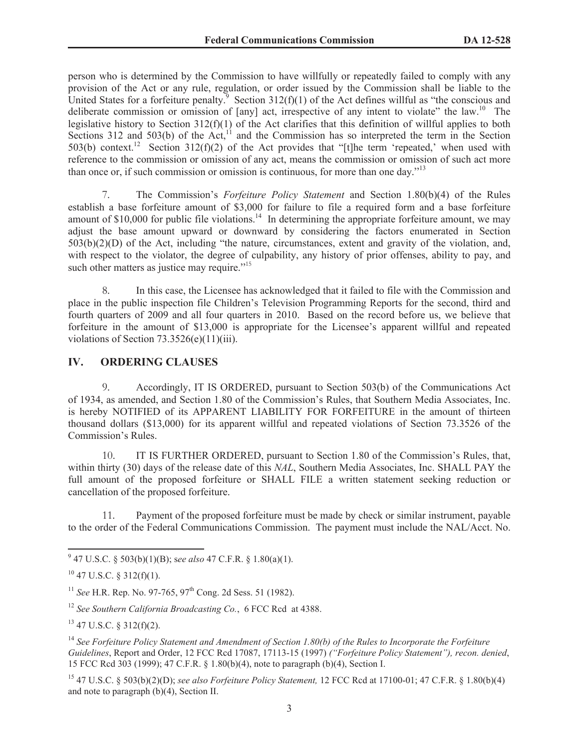person who is determined by the Commission to have willfully or repeatedly failed to comply with any provision of the Act or any rule, regulation, or order issued by the Commission shall be liable to the United States for a forfeiture penalty.<sup>9</sup> Section 312(f)(1) of the Act defines willful as "the conscious and deliberate commission or omission of [any] act, irrespective of any intent to violate" the law.<sup>10</sup> The legislative history to Section 312(f)(1) of the Act clarifies that this definition of willful applies to both Sections 312 and 503(b) of the Act,<sup>11</sup> and the Commission has so interpreted the term in the Section 503(b) context.<sup>12</sup> Section 312(f)(2) of the Act provides that "[t]he term 'repeated,' when used with reference to the commission or omission of any act, means the commission or omission of such act more than once or, if such commission or omission is continuous, for more than one day."<sup>13</sup>

7. The Commission's *Forfeiture Policy Statement* and Section 1.80(b)(4) of the Rules establish a base forfeiture amount of \$3,000 for failure to file a required form and a base forfeiture amount of  $$10,000$  for public file violations.<sup>14</sup> In determining the appropriate forfeiture amount, we may adjust the base amount upward or downward by considering the factors enumerated in Section 503(b)(2)(D) of the Act, including "the nature, circumstances, extent and gravity of the violation, and, with respect to the violator, the degree of culpability, any history of prior offenses, ability to pay, and such other matters as justice may require. $15$ 

8. In this case, the Licensee has acknowledged that it failed to file with the Commission and place in the public inspection file Children's Television Programming Reports for the second, third and fourth quarters of 2009 and all four quarters in 2010. Based on the record before us, we believe that forfeiture in the amount of \$13,000 is appropriate for the Licensee's apparent willful and repeated violations of Section 73.3526(e)(11)(iii).

#### **IV. ORDERING CLAUSES**

9. Accordingly, IT IS ORDERED, pursuant to Section 503(b) of the Communications Act of 1934, as amended, and Section 1.80 of the Commission's Rules, that Southern Media Associates, Inc. is hereby NOTIFIED of its APPARENT LIABILITY FOR FORFEITURE in the amount of thirteen thousand dollars (\$13,000) for its apparent willful and repeated violations of Section 73.3526 of the Commission's Rules.

10. IT IS FURTHER ORDERED, pursuant to Section 1.80 of the Commission's Rules, that, within thirty (30) days of the release date of this *NAL*, Southern Media Associates, Inc. SHALL PAY the full amount of the proposed forfeiture or SHALL FILE a written statement seeking reduction or cancellation of the proposed forfeiture.

11. Payment of the proposed forfeiture must be made by check or similar instrument, payable to the order of the Federal Communications Commission. The payment must include the NAL/Acct. No.

<sup>12</sup> *See Southern California Broadcasting Co.*, 6 FCC Rcd at 4388.

 $13$  47 U.S.C. § 312(f)(2).

<sup>14</sup> *See Forfeiture Policy Statement and Amendment of Section 1.80(b) of the Rules to Incorporate the Forfeiture Guidelines*, Report and Order, 12 FCC Rcd 17087, 17113-15 (1997) *("Forfeiture Policy Statement"), recon. denied*, 15 FCC Rcd 303 (1999); 47 C.F.R. § 1.80(b)(4), note to paragraph (b)(4), Section I.

<sup>15</sup> 47 U.S.C. § 503(b)(2)(D); *see also Forfeiture Policy Statement,* 12 FCC Rcd at 17100-01; 47 C.F.R. § 1.80(b)(4) and note to paragraph (b)(4), Section II.

<sup>9</sup> 47 U.S.C. § 503(b)(1)(B); s*ee also* 47 C.F.R. § 1.80(a)(1).

 $10$  47 U.S.C. § 312(f)(1).

<sup>&</sup>lt;sup>11</sup> *See* H.R. Rep. No. 97-765, 97<sup>th</sup> Cong. 2d Sess. 51 (1982).